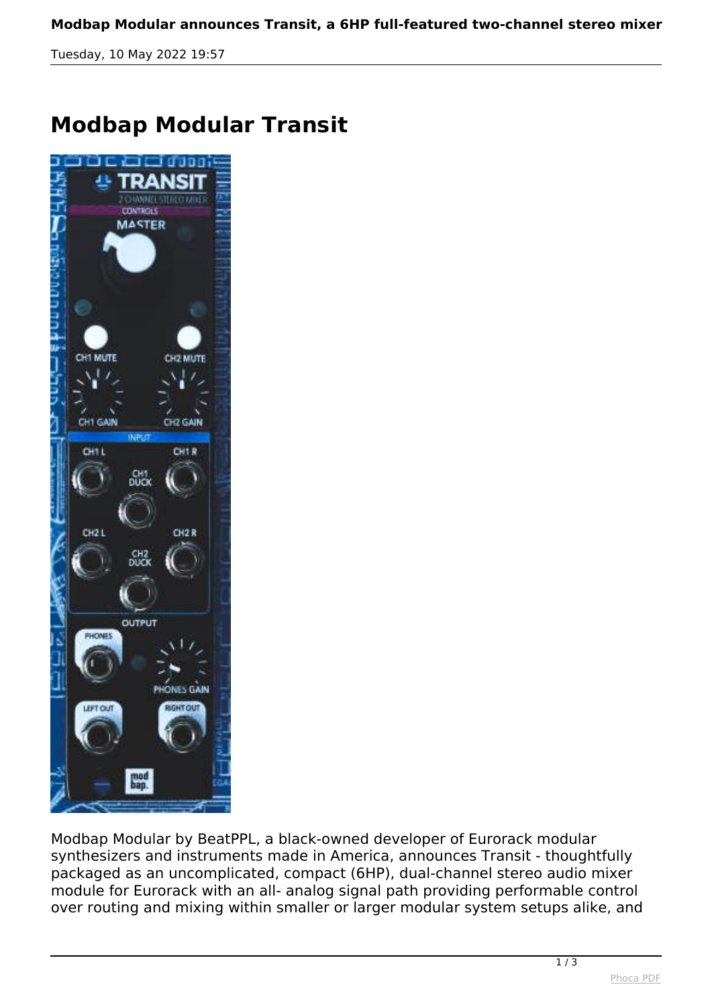*Tuesday, 10 May 2022 19:57*

## **Modbap Modular Transit**



*Modbap Modular by BeatPPL, a black-owned developer of Eurorack modular synthesizers and instruments made in America, announces Transit - thoughtfully packaged as an uncomplicated, compact (6HP), dual-channel stereo audio mixer module for Eurorack with an all- analog signal path providing performable control over routing and mixing within smaller or larger modular system setups alike, and*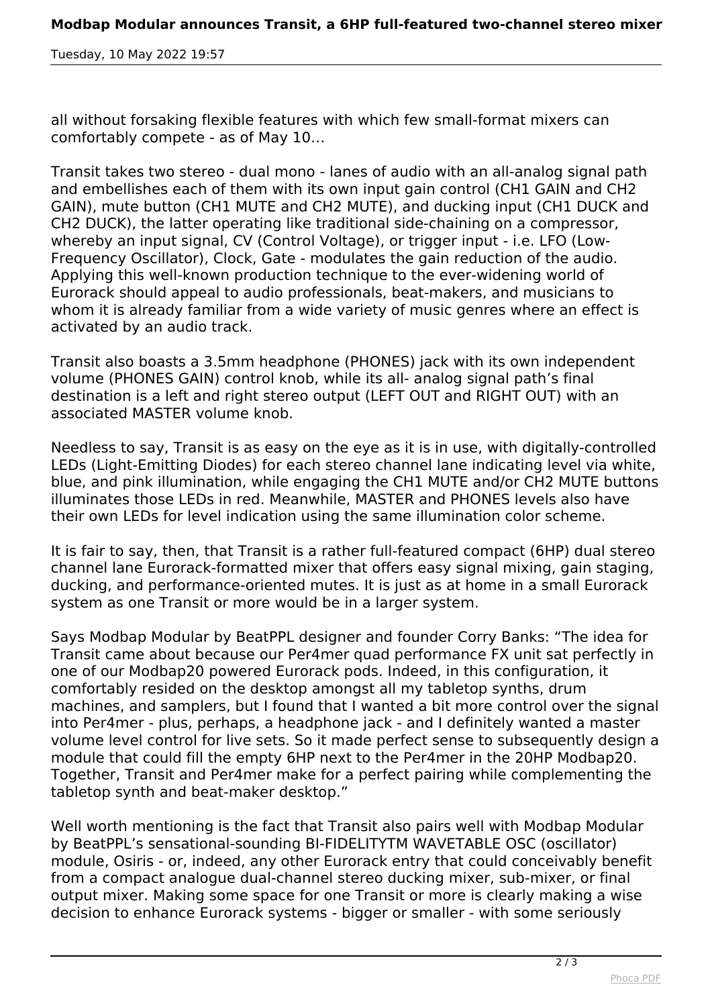*Tuesday, 10 May 2022 19:57*

*all without forsaking flexible features with which few small-format mixers can comfortably compete - as of May 10…*

*Transit takes two stereo - dual mono - lanes of audio with an all-analog signal path and embellishes each of them with its own input gain control (CH1 GAIN and CH2 GAIN), mute button (CH1 MUTE and CH2 MUTE), and ducking input (CH1 DUCK and CH2 DUCK), the latter operating like traditional side-chaining on a compressor, whereby an input signal, CV (Control Voltage), or trigger input - i.e. LFO (Low-Frequency Oscillator), Clock, Gate - modulates the gain reduction of the audio. Applying this well-known production technique to the ever-widening world of Eurorack should appeal to audio professionals, beat-makers, and musicians to whom it is already familiar from a wide variety of music genres where an effect is activated by an audio track.*

*Transit also boasts a 3.5mm headphone (PHONES) jack with its own independent volume (PHONES GAIN) control knob, while its all- analog signal path's final destination is a left and right stereo output (LEFT OUT and RIGHT OUT) with an associated MASTER volume knob.*

*Needless to say, Transit is as easy on the eye as it is in use, with digitally-controlled LEDs (Light-Emitting Diodes) for each stereo channel lane indicating level via white, blue, and pink illumination, while engaging the CH1 MUTE and/or CH2 MUTE buttons illuminates those LEDs in red. Meanwhile, MASTER and PHONES levels also have their own LEDs for level indication using the same illumination color scheme.*

*It is fair to say, then, that Transit is a rather full-featured compact (6HP) dual stereo channel lane Eurorack-formatted mixer that offers easy signal mixing, gain staging, ducking, and performance-oriented mutes. It is just as at home in a small Eurorack system as one Transit or more would be in a larger system.*

*Says Modbap Modular by BeatPPL designer and founder Corry Banks: "The idea for Transit came about because our Per4mer quad performance FX unit sat perfectly in one of our Modbap20 powered Eurorack pods. Indeed, in this configuration, it comfortably resided on the desktop amongst all my tabletop synths, drum machines, and samplers, but I found that I wanted a bit more control over the signal into Per4mer - plus, perhaps, a headphone jack - and I definitely wanted a master volume level control for live sets. So it made perfect sense to subsequently design a module that could fill the empty 6HP next to the Per4mer in the 20HP Modbap20. Together, Transit and Per4mer make for a perfect pairing while complementing the tabletop synth and beat-maker desktop."*

*Well worth mentioning is the fact that Transit also pairs well with Modbap Modular by BeatPPL's sensational-sounding BI-FIDELITYTM WAVETABLE OSC (oscillator) module, Osiris - or, indeed, any other Eurorack entry that could conceivably benefit from a compact analogue dual-channel stereo ducking mixer, sub-mixer, or final output mixer. Making some space for one Transit or more is clearly making a wise decision to enhance Eurorack systems - bigger or smaller - with some seriously*